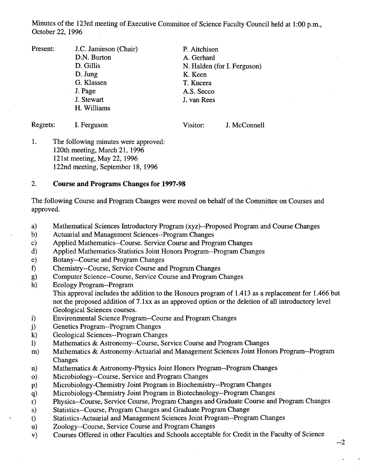Minutes of the 123rd meeting of Executive Committee of Science Faculty Council held at 1:00 p.m., October 22, 1996

Present: J.C. Jamieson (Chair) D.N. Burton D. Gillis D. Jung G. Klassen J. Page J. Stewart Williams P. Aitchison A. Gerhard N. Halden (for I. Ferguson) K. Keen T. Kucera A.S. Secco J. van Rees

Regrets: I. Ferguson

Visitor: J. McConnell

1. The following minutes were approved: 120th meeting, March 21, 1996 12 1st meeting, May 22, 1996 122nd meeting, September 18, 1996

## **2. Course and Programs Changes for 1997-98**

The following Course and Program Changes were moved on behalf of the Committee on Courses and approved.

- Mathematical Sciences Introductory Program (xyz)--Proposed Program and Course Changes a)
- Actuarial and Management Sciences--Program Changes  $b)$
- Applied Mathematics--Course. Service Course and Program Changes  $\mathbf{c}$
- $\mathbf{d}$ Applied Mathematics-Statistics Joint Honors Program--Program Changes
- Botany--Course and Program Changes  $e)$
- 1) Chemistry--Course, Service Course and Program Changes
- Computer Science--Course, Service Course and Program Changes  $g)$
- $h)$ Ecology Program--Program

This approval includes the addition to the Honours program of 1.413 as a replacement for 1.466 but not the proposed addition of 7. lxx as an approved option or the deletion of all introductory level Geological Sciences courses.

- $\mathbf{i}$ Environmental Science Program--Course and Program Changes
- Genetics Program--Program Changes  $j)$
- Geological Sciences--Program Changes  $\bf k$ )
- 1) Mathematics & Astronomy--Course, Service Course and Program Changes
- Mathematics & Astronomy-Actuarial and Management Sciences Joint Honors Program--Program  $m)$ Changes
- Mathematics & Astronomy-Physics Joint Honors Program--Program Changes  $\mathbf{n}$ )
- Microbiology--Course, Service and Program Changes  $\circ$ )
- Microbiology-Chemistry Joint Program in Biochemistry--Program Changes  $p)$
- Microbiology-Chemistry Joint Program in Biotechnology--Program Changes  $q)$
- Physics--Course, Service Course, Program Changes and Graduate Course and Program Changes  $r)$
- Statistics--Course, Program Changes and Graduate Program Change s)
- Statistics-Actuarial and Management Sciences Joint Program--Program Changes  $t)$
- Zoology--Course, Service Course and Program Changes  $u)$
- Courses Offered in other Faculties and Schools acceptable for Credit in the Faculty of Science  $V)$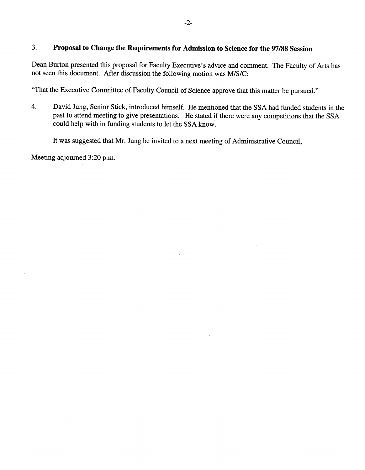## $3.$ **Proposal to Change the Requirements for Admission to Science for the 97/88 Session**

Dean Burton presented this proposal for Faculty Executive's advice and comment. The Faculty of Arts has not seen this document. After discussion the following motion was MIS/C:

"That the Executive Committee of Faculty Council of Science approve that this matter be pursued."

 $\overline{4}$ . David Jung, Senior Stick, introduced himself. He mentioned that the SSA had funded students in the past to attend meeting to give presentations. He stated if there were any competitions that the SSA could help with in funding students to let the SSA know.

 $\mathbf{r}$ 

It was suggested that Mr. Jung be invited to a next meeting of Administrative Council,

Meeting adjourned 3:20 p.m.

 $\bar{z}$ 

 $\mathcal{L}_{\mathcal{A}}$ 

 $\sim$   $\sim$